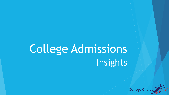# Insights College Admissions

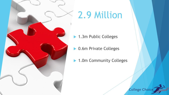

# 2.9 Million

- 1.3m Public Colleges
- **D.6m Private Colleges**
- ▶ 1.0m Community Colleges

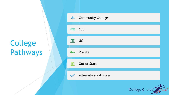# College Pathways

|  | <b>lift</b>  | <b>Community Colleges</b> |
|--|--------------|---------------------------|
|  | <b>fifth</b> | <b>CSU</b>                |
|  | $\mathbf{m}$ | <b>UC</b>                 |
|  | <b>Omn</b>   | Private                   |
|  | 血            | <b>Out of State</b>       |
|  |              | V Alternative Pathways    |
|  |              | College Choice            |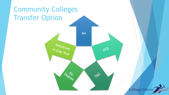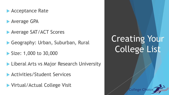- **Acceptance Rate**
- **Average GPA**
- **Average SAT/ACT Scores**
- Geography: Urban, Suburban, Rural
- Size: 1,000 to 30,000
- **Liberal Arts vs Major Research University**
- Activities/Student Services
- **Virtual/Actual College Visit**

# Creating Your College List

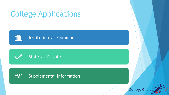# College Applications







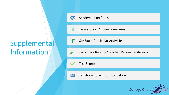### Supplemental Information



冒

```
Academic Portfolios
```
Essays/Short Answers/Resumes

■ 全国 Co/Extra-Curricular Activities

Secondary Reports/Teacher Recommendations ليرڈ

Test Scores

Family/Scholarship information $\boxed{=}$ 

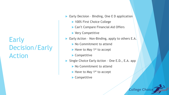#### Early Decision/Early Action

- Early Decision Binding, One E D application
	- ▶ 100% First Choice College
	- ▶ Can't Compare Financial Aid Offers
	- ▶ Very Competitive
- Early Action Non-Binding, apply to others E.A.
	- No Commitment to attend
	- $\blacktriangleright$  Have to May 1<sup>st</sup> to accept
	- ▶ Competitive
- Single Choice Early Action One E.D., E.A. app
	- No Commitment to attend
	- $\blacktriangleright$  Have to May 1<sup>st</sup> to accept
	- ▶ Competitive

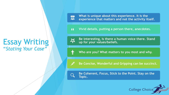#### Essay Writing "*Stating Your Case"*

**What is unique about this experience. It is the**  暴 **experience that matters and not the activity itself.** 

**Vivid details, putting a person there, anecdotes.**   $66$ 

**Be interesting, Is there a human voice there. Stand up for your values/beliefs.** 

**Who are you? What matters to you most and why.**

**Be Concise, Wonderful and Gripping can be succinct.**

**Be Coherent, Focus, Stick to the Point. Stay on the Topic.**

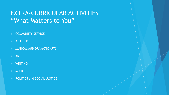#### EXTRA-CURRICULAR ACTIVITIES "What Matters to You"

- COMMUNITY SERVICE
- **ATHLETICS**
- MUSICAL AND DRAMATIC ARTS
- ART
- WRITING
- MUSIC
- POLITICS and SOCIAL JUSTICE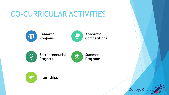## CO-CURRICULAR ACTIVITIES







**Internships**



**Academic Competitions**

**Summer** 

**Programs**

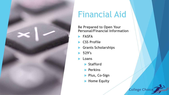

## Financial Aid

**Be Prepared to Open Your Personal/Financial Information**

**FASFA**

- **CSS Profile**
- **Grants Scholarships**
- **529's**
- **Loans**
	- **Stafford**
	- **Perkins**
	- **Plus, Co-Sign**
	- **Home Equity**

![](_page_11_Picture_12.jpeg)